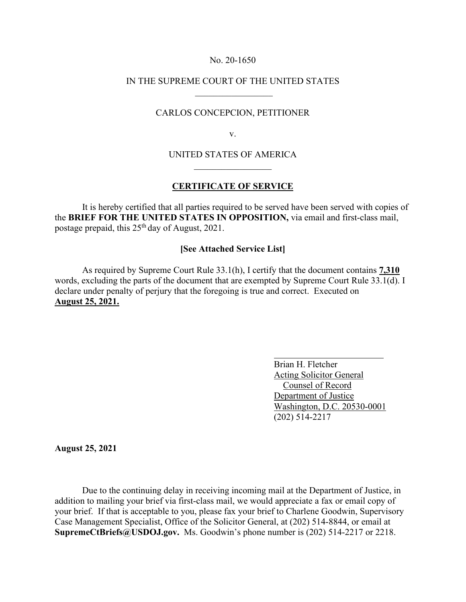## No. 20-1650

## IN THE SUPREME COURT OF THE UNITED STATES  $\frac{1}{2}$  ,  $\frac{1}{2}$  ,  $\frac{1}{2}$  ,  $\frac{1}{2}$  ,  $\frac{1}{2}$  ,  $\frac{1}{2}$  ,  $\frac{1}{2}$  ,  $\frac{1}{2}$  ,  $\frac{1}{2}$  ,  $\frac{1}{2}$

## CARLOS CONCEPCION, PETITIONER

v.

# UNITED STATES OF AMERICA  $\mathcal{L}$  , we have the set of the set of the set of the set of the set of the set of the set of the set of the set of the set of the set of the set of the set of the set of the set of the set of the set of the set of the

## **CERTIFICATE OF SERVICE**

It is hereby certified that all parties required to be served have been served with copies of the **BRIEF FOR THE UNITED STATES IN OPPOSITION,** via email and first-class mail, postage prepaid, this  $25<sup>th</sup>$  day of August, 2021.

## **[See Attached Service List]**

 As required by Supreme Court Rule 33.1(h), I certify that the document contains **7,310**  words, excluding the parts of the document that are exempted by Supreme Court Rule 33.1(d). I declare under penalty of perjury that the foregoing is true and correct. Executed on **August 25, 2021.**

> Brian H. Fletcher Acting Solicitor General Counsel of Record Department of Justice Washington, D.C. 20530-0001 (202) 514-2217

**August 25, 2021**

Due to the continuing delay in receiving incoming mail at the Department of Justice, in addition to mailing your brief via first-class mail, we would appreciate a fax or email copy of your brief. If that is acceptable to you, please fax your brief to Charlene Goodwin, Supervisory Case Management Specialist, Office of the Solicitor General, at (202) 514-8844, or email at **SupremeCtBriefs@USDOJ.gov.** Ms. Goodwin's phone number is (202) 514-2217 or 2218.